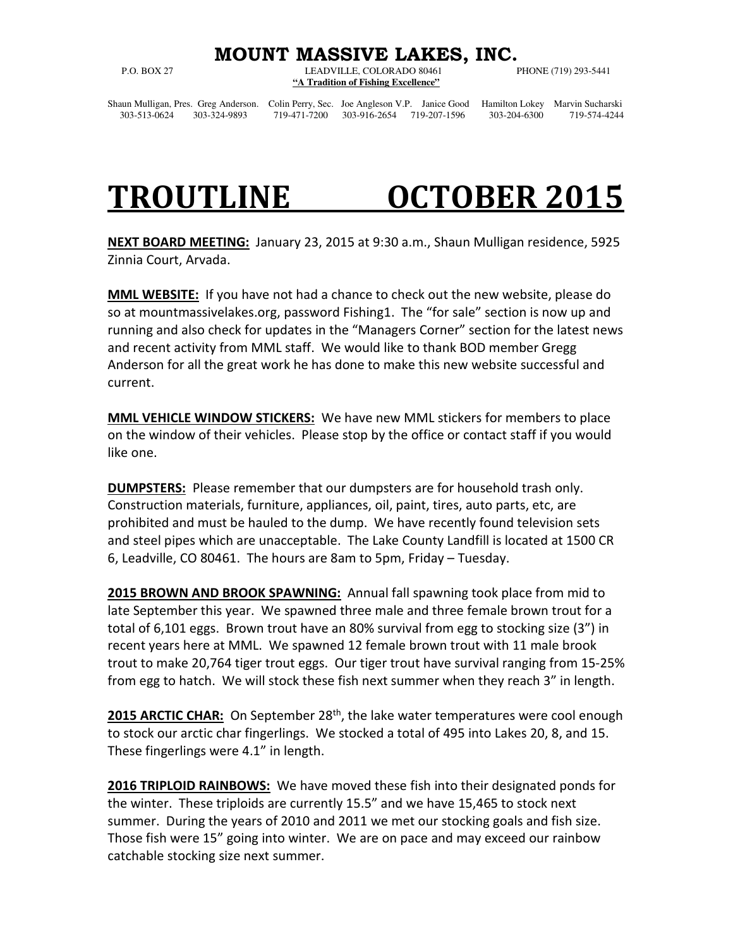## **MOUNT MASSIVE LAKES, INC.**<br>LEADVILLE, COLORADO 80461 PHONE (719) 293-5441

P.O. BOX 27 LEADVILLE, COLORADO 80461 **"A Tradition of Fishing Excellence"** 

303-513-0624 303-324-9893 719-471-7200 303-916-2654 719-207-1596 303-204-6300 719-574-4244

Shaun Mulligan, Pres. Greg Anderson. Colin Perry, Sec. Joe Angleson V.P. Janice Good Hamilton Lokey Marvin Sucharski

## **TROUTLINE OCTOBER 2015**

**NEXT BOARD MEETING:** January 23, 2015 at 9:30 a.m., Shaun Mulligan residence, 5925 Zinnia Court, Arvada.

**MML WEBSITE:** If you have not had a chance to check out the new website, please do so at mountmassivelakes.org, password Fishing1. The "for sale" section is now up and running and also check for updates in the "Managers Corner" section for the latest news and recent activity from MML staff. We would like to thank BOD member Gregg Anderson for all the great work he has done to make this new website successful and current.

**MML VEHICLE WINDOW STICKERS:** We have new MML stickers for members to place on the window of their vehicles. Please stop by the office or contact staff if you would like one.

**DUMPSTERS:** Please remember that our dumpsters are for household trash only. Construction materials, furniture, appliances, oil, paint, tires, auto parts, etc, are prohibited and must be hauled to the dump. We have recently found television sets and steel pipes which are unacceptable. The Lake County Landfill is located at 1500 CR 6, Leadville, CO 80461. The hours are 8am to 5pm, Friday – Tuesday.

**2015 BROWN AND BROOK SPAWNING:** Annual fall spawning took place from mid to late September this year. We spawned three male and three female brown trout for a total of 6,101 eggs. Brown trout have an 80% survival from egg to stocking size (3") in recent years here at MML. We spawned 12 female brown trout with 11 male brook trout to make 20,764 tiger trout eggs. Our tiger trout have survival ranging from 15-25% from egg to hatch. We will stock these fish next summer when they reach 3" in length.

**2015 ARCTIC CHAR:** On September 28<sup>th</sup>, the lake water temperatures were cool enough to stock our arctic char fingerlings. We stocked a total of 495 into Lakes 20, 8, and 15. These fingerlings were 4.1" in length.

**2016 TRIPLOID RAINBOWS:** We have moved these fish into their designated ponds for the winter. These triploids are currently 15.5" and we have 15,465 to stock next summer. During the years of 2010 and 2011 we met our stocking goals and fish size. Those fish were 15" going into winter. We are on pace and may exceed our rainbow catchable stocking size next summer.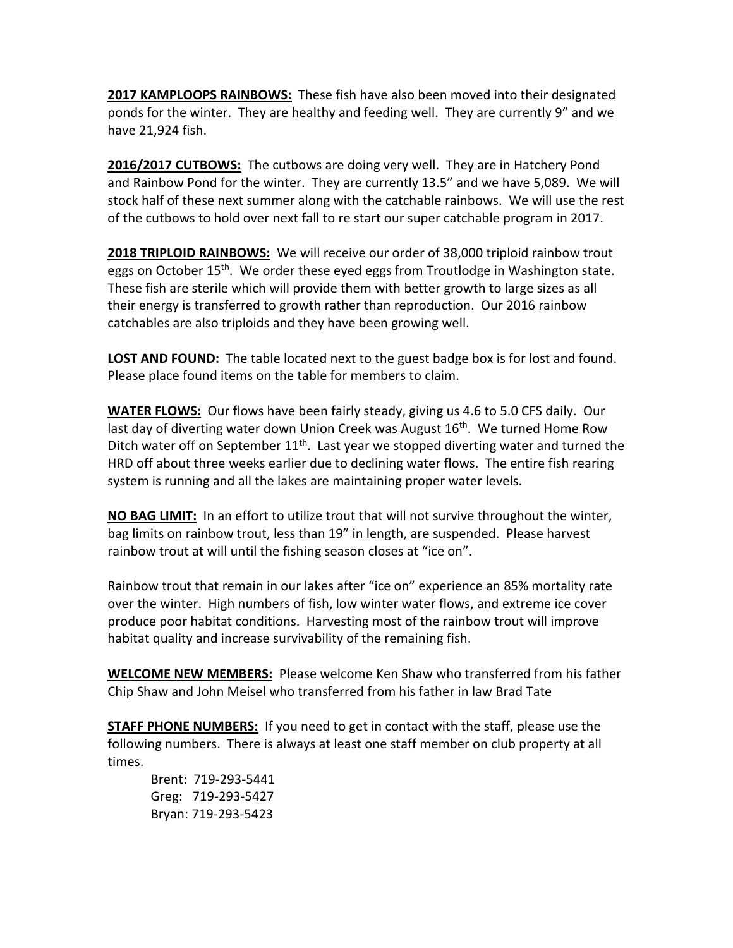**2017 KAMPLOOPS RAINBOWS:** These fish have also been moved into their designated ponds for the winter. They are healthy and feeding well. They are currently 9" and we have 21,924 fish.

**2016/2017 CUTBOWS:** The cutbows are doing very well. They are in Hatchery Pond and Rainbow Pond for the winter. They are currently 13.5" and we have 5,089. We will stock half of these next summer along with the catchable rainbows. We will use the rest of the cutbows to hold over next fall to re start our super catchable program in 2017.

**2018 TRIPLOID RAINBOWS:** We will receive our order of 38,000 triploid rainbow trout eggs on October 15<sup>th</sup>. We order these eyed eggs from Troutlodge in Washington state. These fish are sterile which will provide them with better growth to large sizes as all their energy is transferred to growth rather than reproduction. Our 2016 rainbow catchables are also triploids and they have been growing well.

**LOST AND FOUND:** The table located next to the guest badge box is for lost and found. Please place found items on the table for members to claim.

**WATER FLOWS:** Our flows have been fairly steady, giving us 4.6 to 5.0 CFS daily. Our last day of diverting water down Union Creek was August 16<sup>th</sup>. We turned Home Row Ditch water off on September  $11<sup>th</sup>$ . Last year we stopped diverting water and turned the HRD off about three weeks earlier due to declining water flows. The entire fish rearing system is running and all the lakes are maintaining proper water levels.

**NO BAG LIMIT:** In an effort to utilize trout that will not survive throughout the winter, bag limits on rainbow trout, less than 19" in length, are suspended. Please harvest rainbow trout at will until the fishing season closes at "ice on".

Rainbow trout that remain in our lakes after "ice on" experience an 85% mortality rate over the winter. High numbers of fish, low winter water flows, and extreme ice cover produce poor habitat conditions. Harvesting most of the rainbow trout will improve habitat quality and increase survivability of the remaining fish.

**WELCOME NEW MEMBERS:** Please welcome Ken Shaw who transferred from his father Chip Shaw and John Meisel who transferred from his father in law Brad Tate

**STAFF PHONE NUMBERS:** If you need to get in contact with the staff, please use the following numbers. There is always at least one staff member on club property at all times.

 Brent: 719-293-5441 Greg: 719-293-5427 Bryan: 719-293-5423